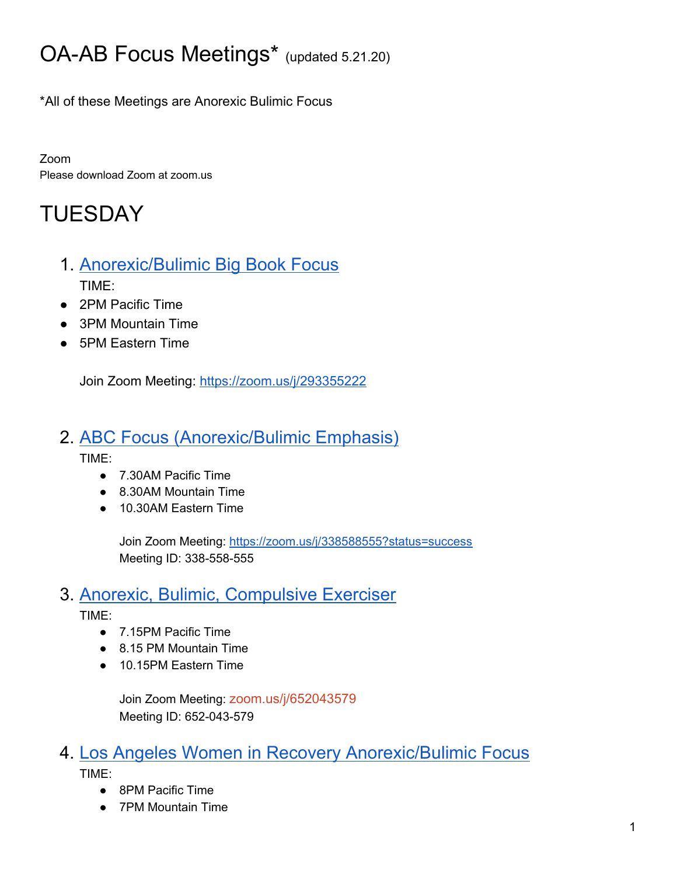# OA-AB Focus Meetings\* (updated 5.21.20)

\*All of these Meetings are Anorexic Bulimic Focus

Zoom Please download Zoom at zoom.us

# TUESDAY

- 1. [Anorexic/Bulimic](https://oafootsteps.com/meetings/) Big Book Focus TIME:
- 2PM Pacific Time
- 3PM Mountain Time
- 5PM Eastern Time

Join Zoom Meeting: <https://zoom.us/j/293355222>

#### 2. ABC Focus [\(Anorexic/Bulimic](https://oasfvalley.org/event/abc-focus-anorexic-bulimic-emphasis/?instance_id=7875) Emphasis)

TIME:

- 7.30AM Pacific Time
- 8.30AM Mountain Time
- 10.30AM Eastern Time

Join Zoom Meeting: <https://zoom.us/j/338588555?status=success> Meeting ID: 338-558-555

### 3. Anorexic, Bulimic, [Compulsive](https://www.oasf.org/meetings) Exerciser

TIME:

- 7.15PM Pacific Time
- 8.15 PM Mountain Time
- 10.15PM Eastern Time

Join Zoom Meeting: [zoom.us/j/652043579](https://zoom.us/j/652043579) Meeting ID: 652-043-579

### 4. Los Angeles Women in Recovery [Anorexic/Bulimic](https://docs.google.com/spreadsheets/d/1OnefSZYK3NeyEM8kyXQt-knoRbPZM8WZaMGmU5hDw38/edit#gid=0) Focus

TIME:

- 8PM Pacific Time
- 7PM Mountain Time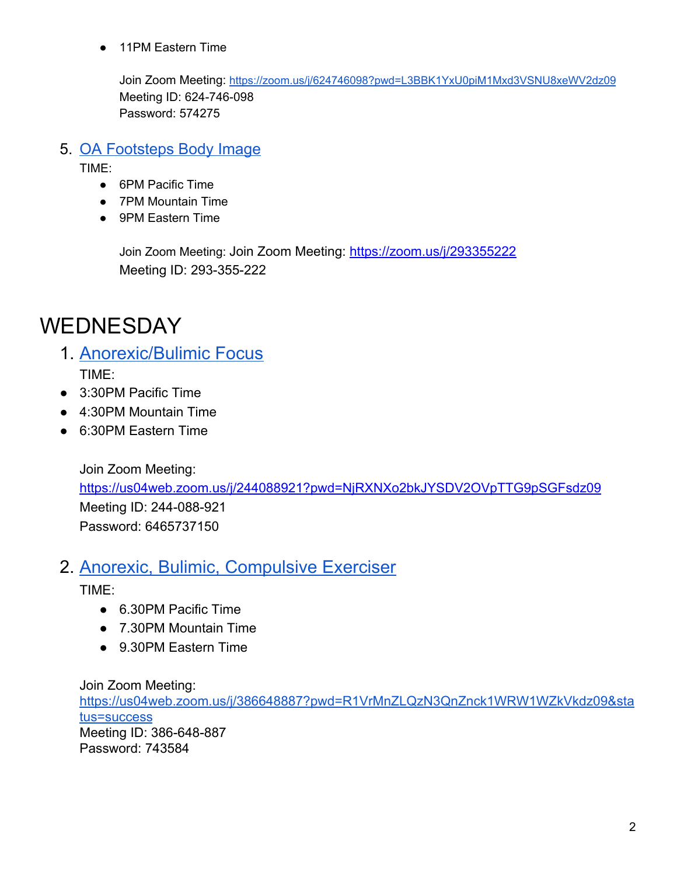● 11PM Eastern Time

Join Zoom Meeting: <https://zoom.us/j/624746098?pwd=L3BBK1YxU0piM1Mxd3VSNU8xeWV2dz09> Meeting ID: 624-746-098 Password: 574275

#### 5. OA [Footsteps](http://oafootsteps.com/meetings/) Body Image

TIME:

- 6PM Pacific Time
- 7PM Mountain Time
- 9PM Eastern Time

Join Zoom Meeting: Join Zoom Meeting:<https://zoom.us/j/293355222> Meeting ID: 293-355-222

### WEDNESDAY

- 1. [Anorexic/Bulimic](https://docs.google.com/spreadsheets/d/1FkVY8537zIagRiLsVOx1RQ8sZacNsY4WEI4x_tWuThQ/edit#gid=0) Focus TIME:
- 3:30PM Pacific Time
- 4:30PM Mountain Time
- 6:30PM Eastern Time

Join Zoom Meeting: <https://us04web.zoom.us/j/244088921?pwd=NjRXNXo2bkJYSDV2OVpTTG9pSGFsdz09> Meeting ID: 244-088-921 Password: 6465737150

#### 2. Anorexic, Bulimic, [Compulsive](https://oasfvalley.org/event/abc-12-12/?instance_id=31875) Exerciser

TIME:

- 6.30PM Pacific Time
- 7.30PM Mountain Time
- 9.30PM Eastern Time

Join Zoom Meeting:

[https://us04web.zoom.us/j/386648887?pwd=R1VrMnZLQzN3QnZnck1WRW1WZkVkdz09&sta](https://us04web.zoom.us/j/386648887?pwd=R1VrMnZLQzN3QnZnck1WRW1WZkVkdz09&status=success) [tus=success](https://us04web.zoom.us/j/386648887?pwd=R1VrMnZLQzN3QnZnck1WRW1WZkVkdz09&status=success) Meeting ID: 386-648-887 Password: 743584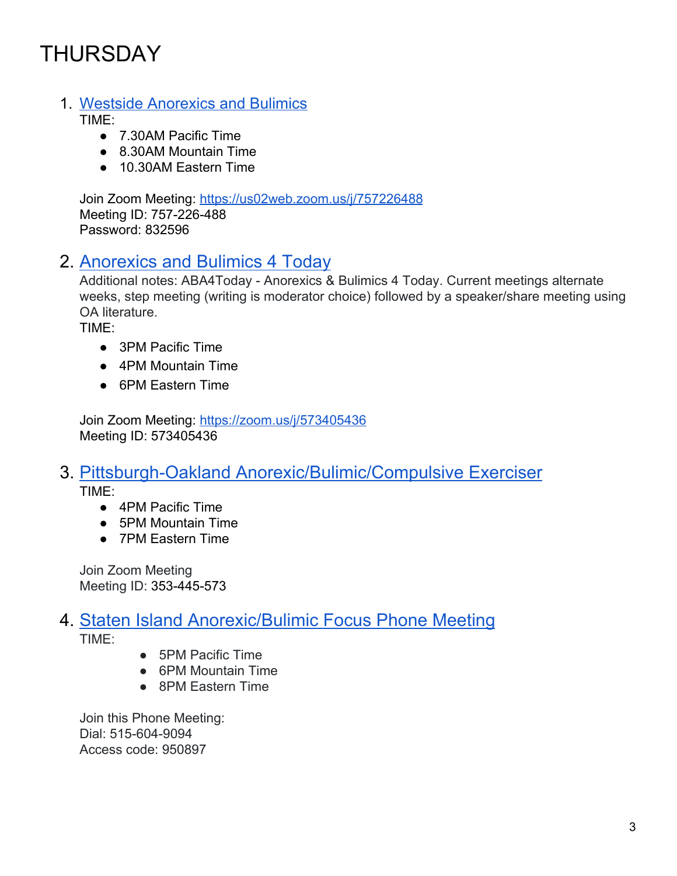## THURSDAY

#### 1. Westside [Anorexics](https://docs.google.com/spreadsheets/d/1OnefSZYK3NeyEM8kyXQt-knoRbPZM8WZaMGmU5hDw38/edit#gid=0) and Bulimics

TIME:

- 7.30AM Pacific Time
- 8.30AM Mountain Time
- 10.30AM Eastern Time

Join Zoom Meeting: <https://us02web.zoom.us/j/757226488> Meeting ID: 757-226-488 Password: 832596

### 2. [Anorexics](http://www.oa12step4coes.org/loops/today.html) and Bulimics 4 Today

Additional notes: ABA4Today - Anorexics & Bulimics 4 Today. Current meetings alternate weeks, step meeting (writing is moderator choice) followed by a speaker/share meeting using OA literature.

TIME:

- 3PM Pacific Time
- 4PM Mountain Time
- 6PM Eastern Time

Join Zoom Meeting: <https://zoom.us/j/573405436> Meeting ID: 573405436

#### 3. Pittsburgh-Oakland [Anorexic/Bulimic/Compulsive](https://www.gpioa.org/docs/COVIDmtgs.pdf) Exerciser TIME:

- 4PM Pacific Time
- 5PM Mountain Time
- 7PM Eastern Time

Join Zoom Meeting Meeting ID: 353-445-573

### 4. Staten Island [Anorexic/Bulimic](http://www.sioa.org/wp-content/uploads/2012/12/SIOA-Virtual-Meetings-4.21.20.png) Focus Phone Meeting

TIME:

- 5PM Pacific Time
- 6PM Mountain Time
- 8PM Eastern Time

Join this Phone Meeting: Dial: 515-604-9094 Access code: 950897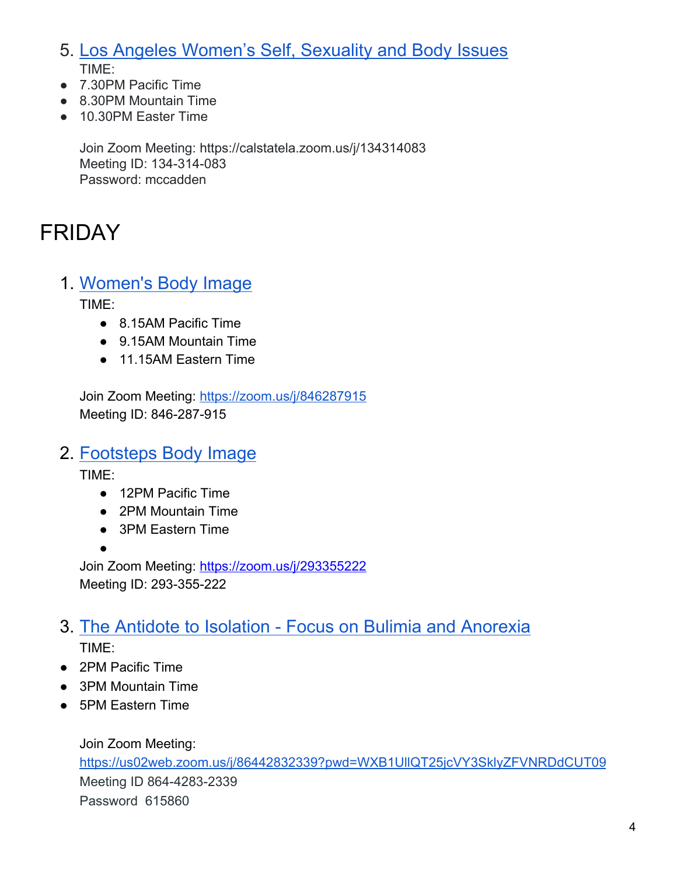5. Los Angeles [Women's](https://docs.google.com/spreadsheets/d/1OnefSZYK3NeyEM8kyXQt-knoRbPZM8WZaMGmU5hDw38/edit#gid=0) Self, Sexuality and Body Issues TIME:

- 7.30PM Pacific Time
- 8.30PM Mountain Time
- 10.30PM Easter Time

Join Zoom Meeting: https://calstatela.zoom.us/j/134314083 Meeting ID: 134-314-083 Password: mccadden

## FRIDAY

1. [Women's](https://docs.google.com/spreadsheets/d/1OnefSZYK3NeyEM8kyXQt-knoRbPZM8WZaMGmU5hDw38/edit#gid=0) Body Image

TIME:

- 8.15AM Pacific Time
- 9.15AM Mountain Time
- 11.15AM Eastern Time

Join Zoom Meeting: <https://zoom.us/j/846287915> Meeting ID: 846-287-915

### 2. [Footsteps](http://oafootsteps.com/meetings/) Body Image

TIME:

●

- 12PM Pacific Time
- 2PM Mountain Time
- 3PM Eastern Time

Join Zoom Meeting: <https://zoom.us/j/293355222> Meeting ID: 293-355-222

### 3. The Antidote to Isolation - Focus on Bulimia and [Anorexia](https://www.oadenver.org/event/temporarily-online-only-the-antidote-to-isolation-focus-on-bulimia-anorexia/?instance_id=25108) TIME:

- 2PM Pacific Time
- 3PM Mountain Time
- 5PM Eastern Time

Join Zoom Meeting: <https://us02web.zoom.us/j/86442832339?pwd=WXB1UllQT25jcVY3SklyZFVNRDdCUT09> Meeting ID 864-4283-2339 Password 615860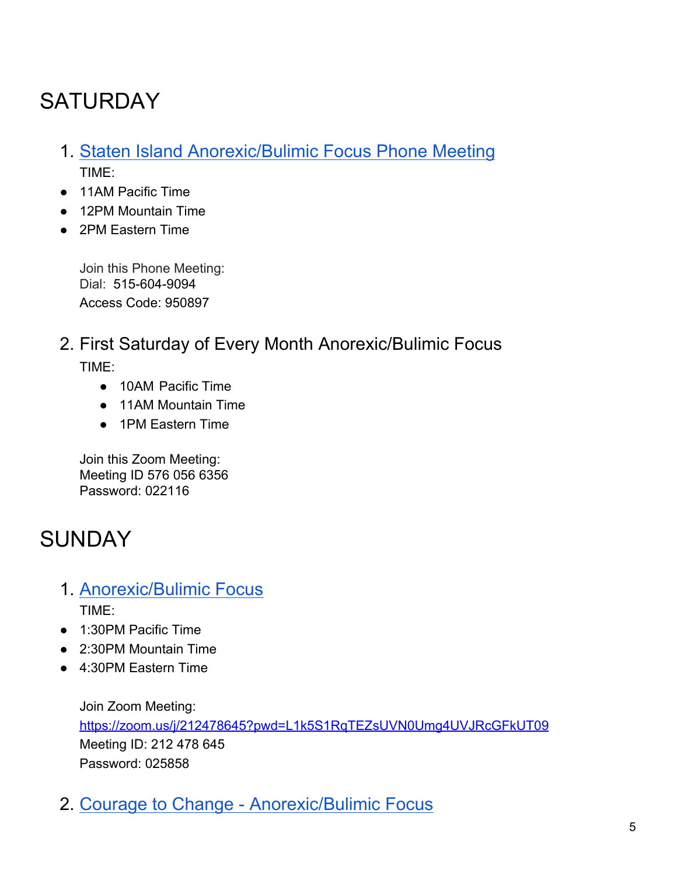# **SATURDAY**

- 1. Staten Island [Anorexic/Bulimic](http://www.sioa.org/wp-content/uploads/2012/12/SIOA-Virtual-Meetings-4.21.20.png) Focus Phone Meeting TIME:
- 11AM Pacific Time
- 12PM Mountain Time
- 2PM Eastern Time

Join this Phone Meeting: Dial: 515-604-9094 Access Code: 950897

#### 2. First Saturday of Every Month Anorexic/Bulimic Focus TIME:

- 10AM Pacific Time
- 11AM Mountain Time
- 1PM Eastern Time

Join this Zoom Meeting: Meeting ID 576 056 6356 Password: 022116

## **SUNDAY**

- 1. [Anorexic/Bulimic](https://docs.google.com/spreadsheets/d/1FkVY8537zIagRiLsVOx1RQ8sZacNsY4WEI4x_tWuThQ/edit#gid=0) Focus TIME:
- 1:30PM Pacific Time
- 2:30PM Mountain Time
- 4:30PM Eastern Time

Join Zoom Meeting: <https://zoom.us/j/212478645?pwd=L1k5S1RqTEZsUVN0Umg4UVJRcGFkUT09> Meeting ID: 212 478 645 Password: 025858

2. Courage to Change - [Anorexic/Bulimic](https://docs.google.com/spreadsheets/d/1OnefSZYK3NeyEM8kyXQt-knoRbPZM8WZaMGmU5hDw38/edit#gid=0) Focus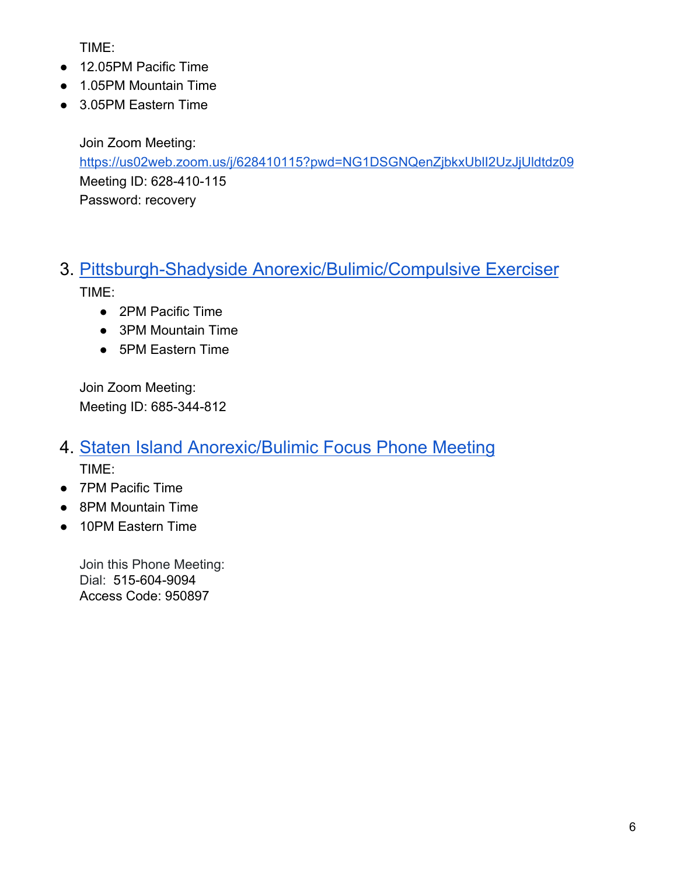TIME:

- 12.05PM Pacific Time
- 1.05PM Mountain Time
- 3.05PM Eastern Time

Join Zoom Meeting: <https://us02web.zoom.us/j/628410115?pwd=NG1DSGNQenZjbkxUblI2UzJjUldtdz09> Meeting ID: 628-410-115 Password: recovery

# 3. Pittsburgh-Shadyside [Anorexic/Bulimic/Compulsive](https://www.gpioa.org/docs/COVIDmtgs.pdf) Exerciser

TIME:

- 2PM Pacific Time
- 3PM Mountain Time
- 5PM Eastern Time

Join Zoom Meeting: Meeting ID: 685-344-812

- 4. Staten Island [Anorexic/Bulimic](http://www.sioa.org/wp-content/uploads/2012/12/SIOA-Virtual-Meetings-4.21.20.png) Focus Phone Meeting TIME:
- 7PM Pacific Time
- 8PM Mountain Time
- 10PM Eastern Time

Join this Phone Meeting: Dial: 515-604-9094 Access Code: 950897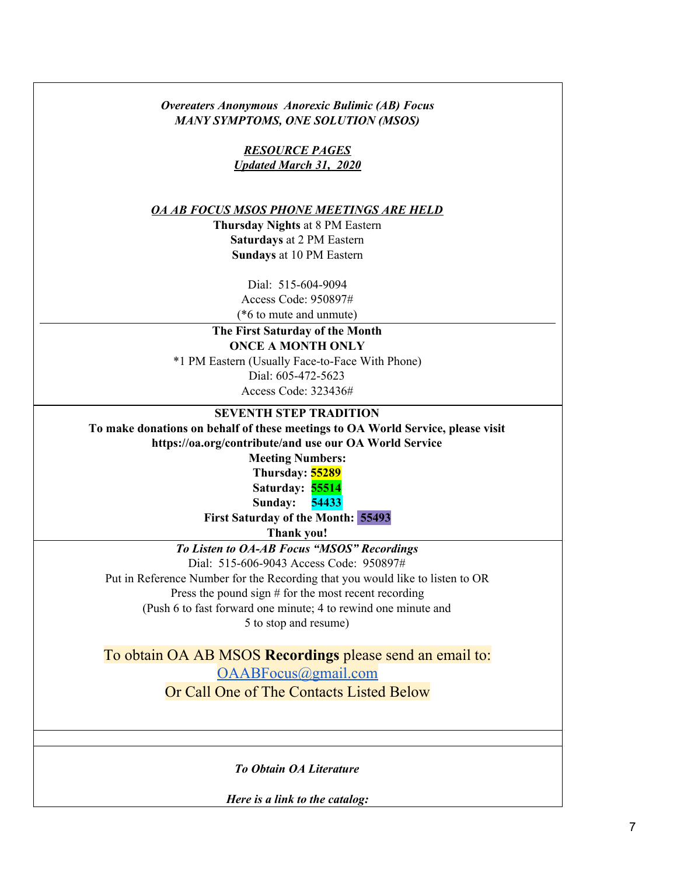| <b>Overeaters Anonymous Anorexic Bulimic (AB) Focus</b><br><b>MANY SYMPTOMS, ONE SOLUTION (MSOS)</b> |  |  |  |  |
|------------------------------------------------------------------------------------------------------|--|--|--|--|
| <b>RESOURCE PAGES</b>                                                                                |  |  |  |  |
| <b>Updated March 31, 2020</b>                                                                        |  |  |  |  |
|                                                                                                      |  |  |  |  |
| OA AB FOCUS MSOS PHONE MEETINGS ARE HELD                                                             |  |  |  |  |
| <b>Thursday Nights at 8 PM Eastern</b>                                                               |  |  |  |  |
| <b>Saturdays at 2 PM Eastern</b>                                                                     |  |  |  |  |
| Sundays at 10 PM Eastern                                                                             |  |  |  |  |
|                                                                                                      |  |  |  |  |
| Dial: 515-604-9094<br>Access Code: 950897#                                                           |  |  |  |  |
| (*6 to mute and unmute)                                                                              |  |  |  |  |
| The First Saturday of the Month                                                                      |  |  |  |  |
| <b>ONCE A MONTH ONLY</b>                                                                             |  |  |  |  |
| *1 PM Eastern (Usually Face-to-Face With Phone)                                                      |  |  |  |  |
| Dial: 605-472-5623                                                                                   |  |  |  |  |
| Access Code: 323436#                                                                                 |  |  |  |  |
| <b>SEVENTH STEP TRADITION</b>                                                                        |  |  |  |  |
| To make donations on behalf of these meetings to OA World Service, please visit                      |  |  |  |  |
| https://oa.org/contribute/and use our OA World Service                                               |  |  |  |  |
| <b>Meeting Numbers:</b>                                                                              |  |  |  |  |
| Thursday: 55289                                                                                      |  |  |  |  |
| Saturday: 55514                                                                                      |  |  |  |  |
| Sunday:<br>54433                                                                                     |  |  |  |  |
| First Saturday of the Month: 55493                                                                   |  |  |  |  |
| Thank you!                                                                                           |  |  |  |  |
| To Listen to OA-AB Focus "MSOS" Recordings<br>Dial: 515-606-9043 Access Code: 950897#                |  |  |  |  |
| Put in Reference Number for the Recording that you would like to listen to OR                        |  |  |  |  |
| Press the pound sign $#$ for the most recent recording                                               |  |  |  |  |
| (Push 6 to fast forward one minute; 4 to rewind one minute and                                       |  |  |  |  |
| 5 to stop and resume)                                                                                |  |  |  |  |
|                                                                                                      |  |  |  |  |
| To obtain OA AB MSOS Recordings please send an email to:                                             |  |  |  |  |
| OAABFocus@gmail.com                                                                                  |  |  |  |  |
| Or Call One of The Contacts Listed Below                                                             |  |  |  |  |
|                                                                                                      |  |  |  |  |
|                                                                                                      |  |  |  |  |
| <b>To Obtain OA Literature</b>                                                                       |  |  |  |  |
| Here is a link to the catalog:                                                                       |  |  |  |  |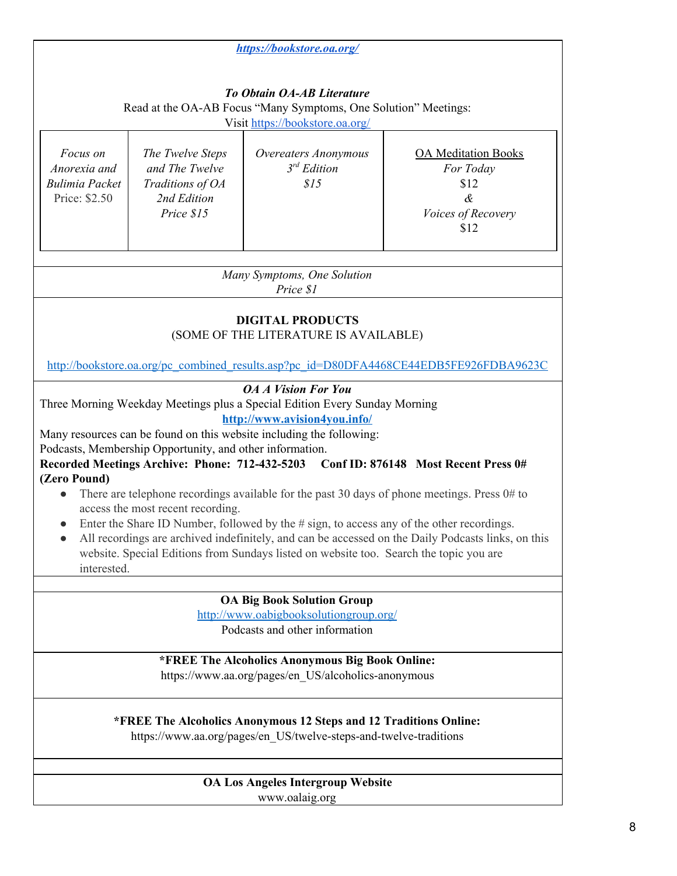|                                                                                                                                                                                                                                                                                                                                                                                                                                                                                                                                                                                                                                                                                                                                                                                                                                                         |                                                                                     | https://bookstore.oa.org/                                                                                                               |                                                                                           |  |
|---------------------------------------------------------------------------------------------------------------------------------------------------------------------------------------------------------------------------------------------------------------------------------------------------------------------------------------------------------------------------------------------------------------------------------------------------------------------------------------------------------------------------------------------------------------------------------------------------------------------------------------------------------------------------------------------------------------------------------------------------------------------------------------------------------------------------------------------------------|-------------------------------------------------------------------------------------|-----------------------------------------------------------------------------------------------------------------------------------------|-------------------------------------------------------------------------------------------|--|
|                                                                                                                                                                                                                                                                                                                                                                                                                                                                                                                                                                                                                                                                                                                                                                                                                                                         |                                                                                     | <b>To Obtain OA-AB Literature</b><br>Read at the OA-AB Focus "Many Symptoms, One Solution" Meetings:<br>Visit https://bookstore.oa.org/ |                                                                                           |  |
| Focus on<br>Anorexia and<br><b>Bulimia Packet</b><br>Price: \$2.50                                                                                                                                                                                                                                                                                                                                                                                                                                                                                                                                                                                                                                                                                                                                                                                      | The Twelve Steps<br>and The Twelve<br>Traditions of OA<br>2nd Edition<br>Price \$15 | Overeaters Anonymous<br>$3^{rd}$ Edition<br>\$15                                                                                        | <b>OA</b> Meditation Books<br>For Today<br>\$12<br>$\alpha$<br>Voices of Recovery<br>\$12 |  |
| Many Symptoms, One Solution<br>Price \$1                                                                                                                                                                                                                                                                                                                                                                                                                                                                                                                                                                                                                                                                                                                                                                                                                |                                                                                     |                                                                                                                                         |                                                                                           |  |
| <b>DIGITAL PRODUCTS</b><br>(SOME OF THE LITERATURE IS AVAILABLE)<br>http://bookstore.oa.org/pc_combined_results.asp?pc_id=D80DFA4468CE44EDB5FE926FDBA9623C                                                                                                                                                                                                                                                                                                                                                                                                                                                                                                                                                                                                                                                                                              |                                                                                     |                                                                                                                                         |                                                                                           |  |
| <b>OA A Vision For You</b><br>Three Morning Weekday Meetings plus a Special Edition Every Sunday Morning<br>http://www.avision4you.info/<br>Many resources can be found on this website including the following:<br>Podcasts, Membership Opportunity, and other information.<br>Recorded Meetings Archive: Phone: 712-432-5203<br>Conf ID: 876148 Most Recent Press 0#<br>(Zero Pound)<br>There are telephone recordings available for the past 30 days of phone meetings. Press 0# to<br>access the most recent recording.<br>Enter the Share ID Number, followed by the $\#$ sign, to access any of the other recordings.<br>$\bullet$<br>All recordings are archived indefinitely, and can be accessed on the Daily Podcasts links, on this<br>website. Special Editions from Sundays listed on website too. Search the topic you are<br>interested. |                                                                                     |                                                                                                                                         |                                                                                           |  |
| <b>OA Big Book Solution Group</b>                                                                                                                                                                                                                                                                                                                                                                                                                                                                                                                                                                                                                                                                                                                                                                                                                       |                                                                                     |                                                                                                                                         |                                                                                           |  |
| http://www.oabigbooksolutiongroup.org/<br>Podcasts and other information                                                                                                                                                                                                                                                                                                                                                                                                                                                                                                                                                                                                                                                                                                                                                                                |                                                                                     |                                                                                                                                         |                                                                                           |  |
| *FREE The Alcoholics Anonymous Big Book Online:<br>https://www.aa.org/pages/en_US/alcoholics-anonymous                                                                                                                                                                                                                                                                                                                                                                                                                                                                                                                                                                                                                                                                                                                                                  |                                                                                     |                                                                                                                                         |                                                                                           |  |
| *FREE The Alcoholics Anonymous 12 Steps and 12 Traditions Online:<br>https://www.aa.org/pages/en_US/twelve-steps-and-twelve-traditions                                                                                                                                                                                                                                                                                                                                                                                                                                                                                                                                                                                                                                                                                                                  |                                                                                     |                                                                                                                                         |                                                                                           |  |
| OA Los Angeles Intergroup Website<br>www.oalaig.org                                                                                                                                                                                                                                                                                                                                                                                                                                                                                                                                                                                                                                                                                                                                                                                                     |                                                                                     |                                                                                                                                         |                                                                                           |  |